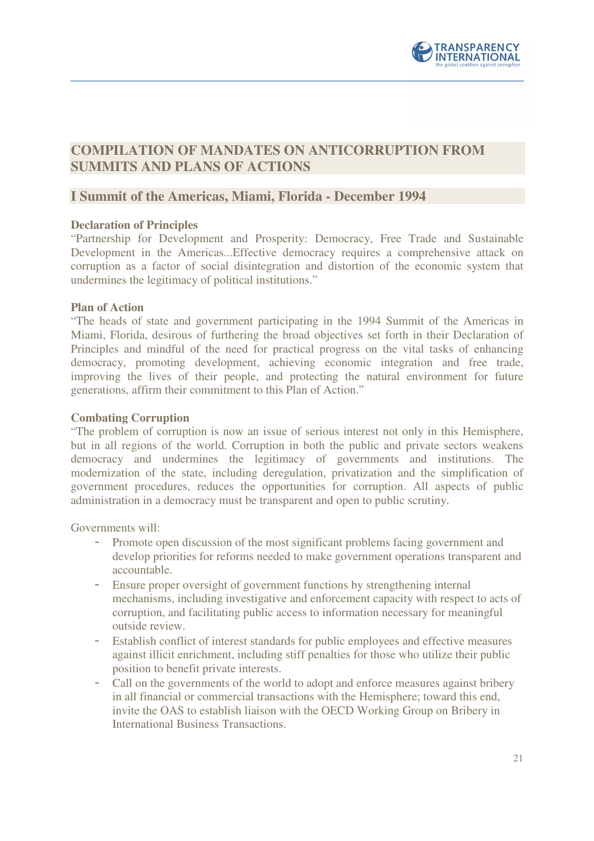

# **COMPILATION OF MANDATES ON ANTICORRUPTION FROM SUMMITS AND PLANS OF ACTIONS**

### **I Summit of the Americas, Miami, Florida - December 1994**

#### **Declaration of Principles**

"Partnership for Development and Prosperity: Democracy, Free Trade and Sustainable Development in the Americas...Effective democracy requires a comprehensive attack on corruption as a factor of social disintegration and distortion of the economic system that undermines the legitimacy of political institutions."

#### **Plan of Action**

"The heads of state and government participating in the 1994 Summit of the Americas in Miami, Florida, desirous of furthering the broad objectives set forth in their Declaration of Principles and mindful of the need for practical progress on the vital tasks of enhancing democracy, promoting development, achieving economic integration and free trade, improving the lives of their people, and protecting the natural environment for future generations, affirm their commitment to this Plan of Action."

#### **Combating Corruption**

"The problem of corruption is now an issue of serious interest not only in this Hemisphere, but in all regions of the world. Corruption in both the public and private sectors weakens democracy and undermines the legitimacy of governments and institutions. The modernization of the state, including deregulation, privatization and the simplification of government procedures, reduces the opportunities for corruption. All aspects of public administration in a democracy must be transparent and open to public scrutiny.

Governments will:

- Promote open discussion of the most significant problems facing government and develop priorities for reforms needed to make government operations transparent and accountable.
- Ensure proper oversight of government functions by strengthening internal mechanisms, including investigative and enforcement capacity with respect to acts of corruption, and facilitating public access to information necessary for meaningful outside review.
- Establish conflict of interest standards for public employees and effective measures against illicit enrichment, including stiff penalties for those who utilize their public position to benefit private interests.
- Call on the governments of the world to adopt and enforce measures against bribery in all financial or commercial transactions with the Hemisphere; toward this end, invite the OAS to establish liaison with the OECD Working Group on Bribery in International Business Transactions.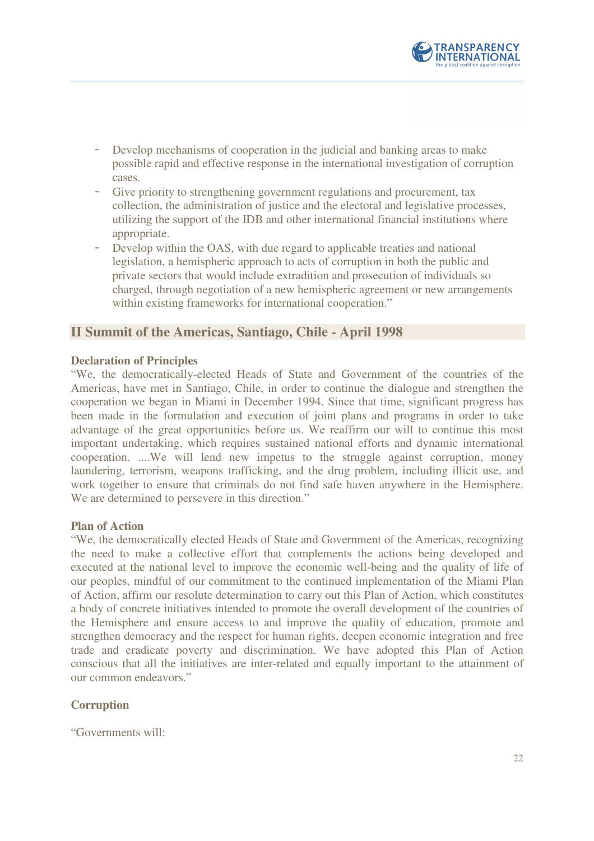

- Develop mechanisms of cooperation in the judicial and banking areas to make possible rapid and effective response in the international investigation of corruption cases.
- Give priority to strengthening government regulations and procurement, tax collection, the administration of justice and the electoral and legislative processes, utilizing the support of the IDB and other international financial institutions where appropriate.
- Develop within the OAS, with due regard to applicable treaties and national legislation, a hemispheric approach to acts of corruption in both the public and private sectors that would include extradition and prosecution of individuals so charged, through negotiation of a new hemispheric agreement or new arrangements within existing frameworks for international cooperation."

### **II Summit of the Americas, Santiago, Chile - April 1998**

#### **Declaration of Principles**

"We, the democratically-elected Heads of State and Government of the countries of the Americas, have met in Santiago, Chile, in order to continue the dialogue and strengthen the cooperation we began in Miami in December 1994. Since that time, significant progress has been made in the formulation and execution of joint plans and programs in order to take advantage of the great opportunities before us. We reaffirm our will to continue this most important undertaking, which requires sustained national efforts and dynamic international cooperation. ....We will lend new impetus to the struggle against corruption, money laundering, terrorism, weapons trafficking, and the drug problem, including illicit use, and work together to ensure that criminals do not find safe haven anywhere in the Hemisphere. We are determined to persevere in this direction."

#### **Plan of Action**

"We, the democratically elected Heads of State and Government of the Americas, recognizing the need to make a collective effort that complements the actions being developed and executed at the national level to improve the economic well-being and the quality of life of our peoples, mindful of our commitment to the continued implementation of the Miami Plan of Action, affirm our resolute determination to carry out this Plan of Action, which constitutes a body of concrete initiatives intended to promote the overall development of the countries of the Hemisphere and ensure access to and improve the quality of education, promote and strengthen democracy and the respect for human rights, deepen economic integration and free trade and eradicate poverty and discrimination. We have adopted this Plan of Action conscious that all the initiatives are inter-related and equally important to the attainment of our common endeavors."

#### **Corruption**

"Governments will: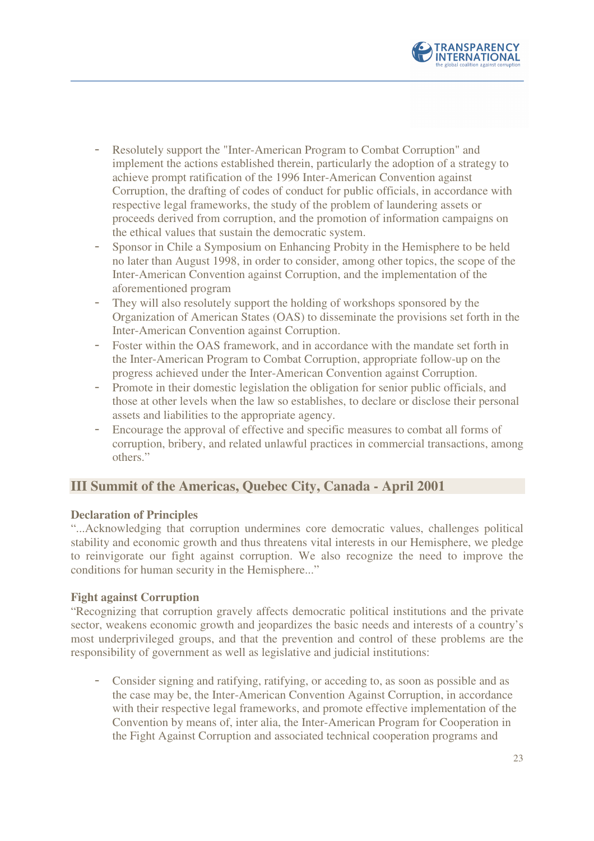

- Resolutely support the "Inter-American Program to Combat Corruption" and implement the actions established therein, particularly the adoption of a strategy to achieve prompt ratification of the 1996 Inter-American Convention against Corruption, the drafting of codes of conduct for public officials, in accordance with respective legal frameworks, the study of the problem of laundering assets or proceeds derived from corruption, and the promotion of information campaigns on the ethical values that sustain the democratic system.
- Sponsor in Chile a Symposium on Enhancing Probity in the Hemisphere to be held no later than August 1998, in order to consider, among other topics, the scope of the Inter-American Convention against Corruption, and the implementation of the aforementioned program
- They will also resolutely support the holding of workshops sponsored by the Organization of American States (OAS) to disseminate the provisions set forth in the Inter-American Convention against Corruption.
- Foster within the OAS framework, and in accordance with the mandate set forth in the Inter-American Program to Combat Corruption, appropriate follow-up on the progress achieved under the Inter-American Convention against Corruption.
- Promote in their domestic legislation the obligation for senior public officials, and those at other levels when the law so establishes, to declare or disclose their personal assets and liabilities to the appropriate agency.
- Encourage the approval of effective and specific measures to combat all forms of corruption, bribery, and related unlawful practices in commercial transactions, among others."

## **III Summit of the Americas, Quebec City, Canada - April 2001**

#### **Declaration of Principles**

"...Acknowledging that corruption undermines core democratic values, challenges political stability and economic growth and thus threatens vital interests in our Hemisphere, we pledge to reinvigorate our fight against corruption. We also recognize the need to improve the conditions for human security in the Hemisphere..."

#### **Fight against Corruption**

"Recognizing that corruption gravely affects democratic political institutions and the private sector, weakens economic growth and jeopardizes the basic needs and interests of a country's most underprivileged groups, and that the prevention and control of these problems are the responsibility of government as well as legislative and judicial institutions:

Consider signing and ratifying, ratifying, or acceding to, as soon as possible and as the case may be, the Inter-American Convention Against Corruption, in accordance with their respective legal frameworks, and promote effective implementation of the Convention by means of, inter alia, the Inter-American Program for Cooperation in the Fight Against Corruption and associated technical cooperation programs and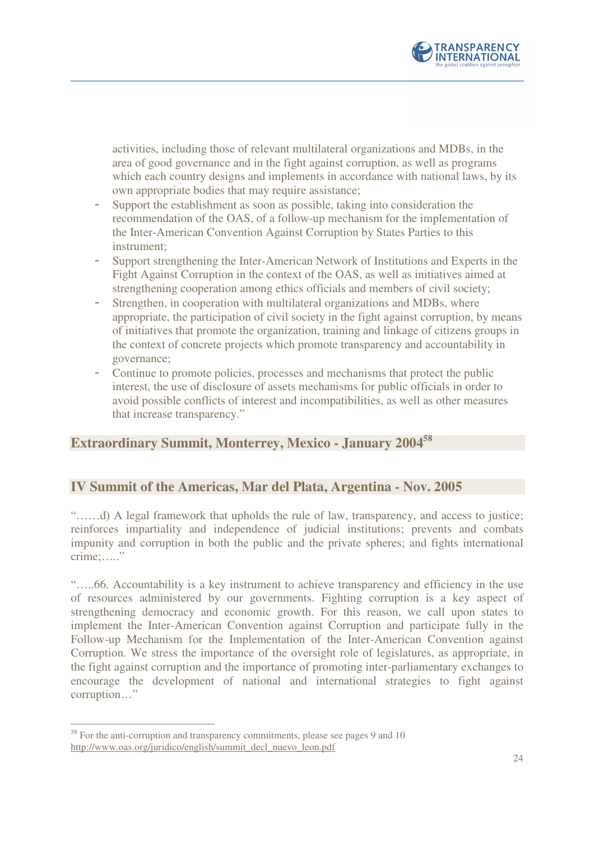

activities, including those of relevant multilateral organizations and MDBs, in the area of good governance and in the fight against corruption, as well as programs which each country designs and implements in accordance with national laws, by its own appropriate bodies that may require assistance;

- Support the establishment as soon as possible, taking into consideration the recommendation of the OAS, of a follow-up mechanism for the implementation of the Inter-American Convention Against Corruption by States Parties to this instrument;
- Support strengthening the Inter-American Network of Institutions and Experts in the Fight Against Corruption in the context of the OAS, as well as initiatives aimed at strengthening cooperation among ethics officials and members of civil society;
- Strengthen, in cooperation with multilateral organizations and MDBs, where appropriate, the participation of civil society in the fight against corruption, by means of initiatives that promote the organization, training and linkage of citizens groups in the context of concrete projects which promote transparency and accountability in governance;
- Continue to promote policies, processes and mechanisms that protect the public interest, the use of disclosure of assets mechanisms for public officials in order to avoid possible conflicts of interest and incompatibilities, as well as other measures that increase transparency."

# **Extraordinary Summit, Monterrey, Mexico - January 2004<sup>58</sup>**

## **IV Summit of the Americas, Mar del Plata, Argentina - Nov. 2005**

"……d) A legal framework that upholds the rule of law, transparency, and access to justice; reinforces impartiality and independence of judicial institutions; prevents and combats impunity and corruption in both the public and the private spheres; and fights international crime:....."

"…..66. Accountability is a key instrument to achieve transparency and efficiency in the use of resources administered by our governments. Fighting corruption is a key aspect of strengthening democracy and economic growth. For this reason, we call upon states to implement the Inter-American Convention against Corruption and participate fully in the Follow-up Mechanism for the Implementation of the Inter-American Convention against Corruption. We stress the importance of the oversight role of legislatures, as appropriate, in the fight against corruption and the importance of promoting inter-parliamentary exchanges to encourage the development of national and international strategies to fight against corruption…"

 $\overline{a}$ <sup>58</sup> For the anti-corruption and transparency commitments, please see pages 9 and 10 http://www.oas.org/juridico/english/summit\_decl\_nuevo\_leon.pdf